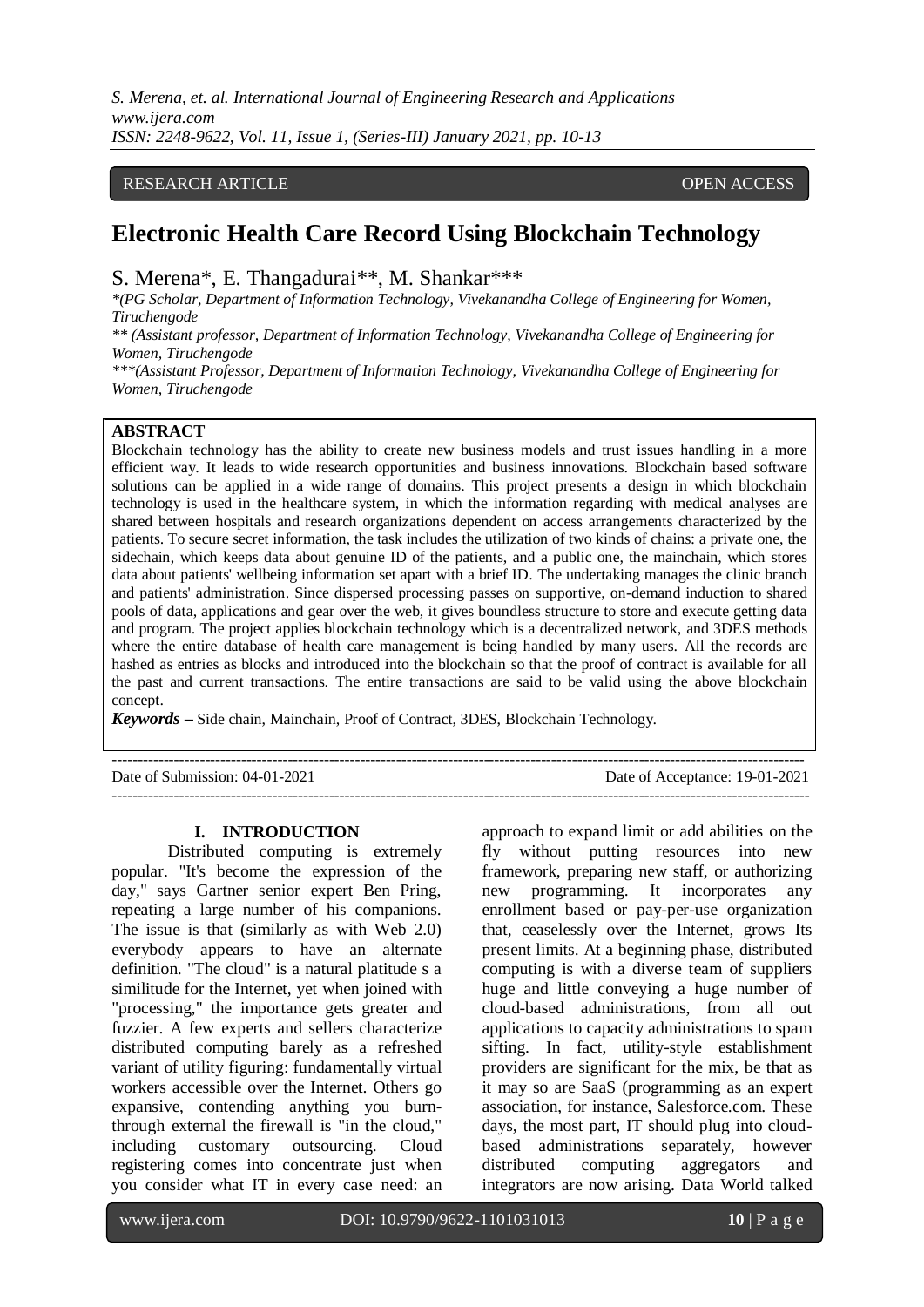*S. Merena, et. al. International Journal of Engineering Research and Applications www.ijera.com ISSN: 2248-9622, Vol. 11, Issue 1, (Series-III) January 2021, pp. 10-13*

# RESEARCH ARTICLE **OPEN ACCESS**

# **Electronic Health Care Record Using Blockchain Technology**

S. Merena\*, E. Thangadurai\*\*, M. Shankar\*\*\*

*\*(PG Scholar, Department of Information Technology, Vivekanandha College of Engineering for Women, Tiruchengode*

*\*\* (Assistant professor, Department of Information Technology, Vivekanandha College of Engineering for Women, Tiruchengode*

*\*\*\*(Assistant Professor, Department of Information Technology, Vivekanandha College of Engineering for Women, Tiruchengode*

# **ABSTRACT**

Blockchain technology has the ability to create new business models and trust issues handling in a more efficient way. It leads to wide research opportunities and business innovations. Blockchain based software solutions can be applied in a wide range of domains. This project presents a design in which blockchain technology is used in the healthcare system, in which the information regarding with medical analyses are shared between hospitals and research organizations dependent on access arrangements characterized by the patients. To secure secret information, the task includes the utilization of two kinds of chains: a private one, the sidechain, which keeps data about genuine ID of the patients, and a public one, the mainchain, which stores data about patients' wellbeing information set apart with a brief ID. The undertaking manages the clinic branch and patients' administration. Since dispersed processing passes on supportive, on-demand induction to shared pools of data, applications and gear over the web, it gives boundless structure to store and execute getting data and program. The project applies blockchain technology which is a decentralized network, and 3DES methods where the entire database of health care management is being handled by many users. All the records are hashed as entries as blocks and introduced into the blockchain so that the proof of contract is available for all the past and current transactions. The entire transactions are said to be valid using the above blockchain concept.

*Keywords* **–** Side chain, Mainchain, Proof of Contract, 3DES, Blockchain Technology.

-------------------------------------------------------------------------------------------------------------------------------------- Date of Submission: 04-01-2021 Date of Acceptance: 19-01-2021 ---------------------------------------------------------------------------------------------------------------------------------------

#### **I. INTRODUCTION**

Distributed computing is extremely popular. "It's become the expression of the day," says Gartner senior expert Ben Pring, repeating a large number of his companions. The issue is that (similarly as with Web 2.0) everybody appears to have an alternate definition. "The cloud" is a natural platitude s a similitude for the Internet, yet when joined with "processing," the importance gets greater and fuzzier. A few experts and sellers characterize distributed computing barely as a refreshed variant of utility figuring: fundamentally virtual workers accessible over the Internet. Others go expansive, contending anything you burnthrough external the firewall is "in the cloud," including customary outsourcing. Cloud registering comes into concentrate just when you consider what IT in every case need: an

approach to expand limit or add abilities on the fly without putting resources into new framework, preparing new staff, or authorizing new programming. It incorporates any enrollment based or pay-per-use organization that, ceaselessly over the Internet, grows Its present limits. At a beginning phase, distributed computing is with a diverse team of suppliers huge and little conveying a huge number of cloud-based administrations, from all out applications to capacity administrations to spam sifting. In fact, utility-style establishment providers are significant for the mix, be that as it may so are SaaS (programming as an expert association, for instance, Salesforce.com. These days, the most part, IT should plug into cloudbased administrations separately, however distributed computing aggregators and integrators are now arising. Data World talked

www.ijera.com DOI: 10.9790/9622-1101031013 **10** | P a g e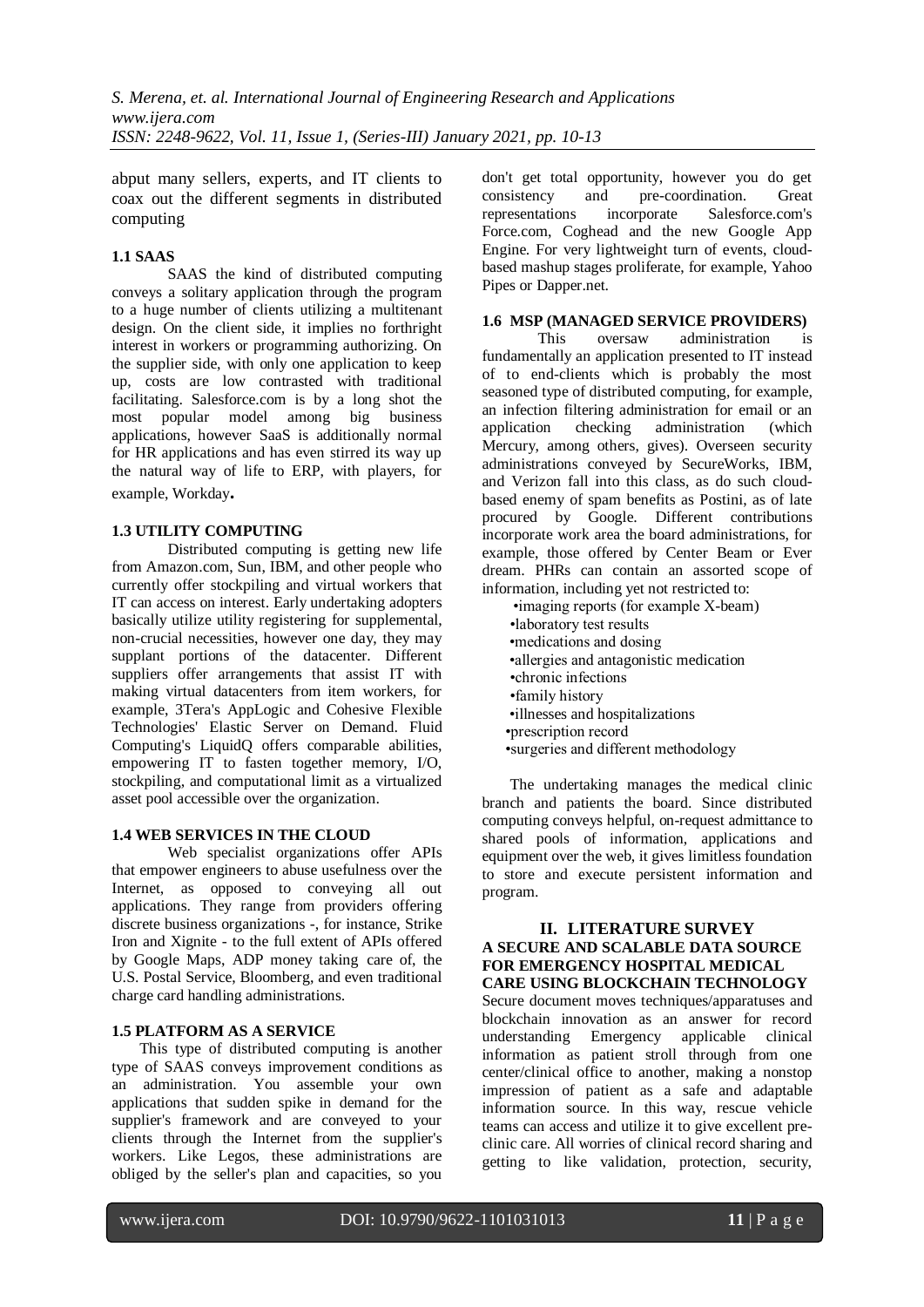abput many sellers, experts, and IT clients to coax out the different segments in distributed computing

# **1.1 SAAS**

SAAS the kind of distributed computing conveys a solitary application through the program to a huge number of clients utilizing a multitenant design. On the client side, it implies no forthright interest in workers or programming authorizing. On the supplier side, with only one application to keep up, costs are low contrasted with traditional facilitating. Salesforce.com is by a long shot the most popular model among big business applications, however SaaS is additionally normal for HR applications and has even stirred its way up the natural way of life to ERP, with players, for example, Workday**.**

# **1.3 UTILITY COMPUTING**

Distributed computing is getting new life from Amazon.com, Sun, IBM, and other people who currently offer stockpiling and virtual workers that IT can access on interest. Early undertaking adopters basically utilize utility registering for supplemental, non-crucial necessities, however one day, they may supplant portions of the datacenter. Different suppliers offer arrangements that assist IT with making virtual datacenters from item workers, for example, 3Tera's AppLogic and Cohesive Flexible Technologies' Elastic Server on Demand. Fluid Computing's LiquidQ offers comparable abilities, empowering IT to fasten together memory, I/O, stockpiling, and computational limit as a virtualized asset pool accessible over the organization.

### **1.4 WEB SERVICES IN THE CLOUD**

Web specialist organizations offer APIs that empower engineers to abuse usefulness over the Internet, as opposed to conveying all out applications. They range from providers offering discrete business organizations -, for instance, Strike Iron and Xignite - to the full extent of APIs offered by Google Maps, ADP money taking care of, the U.S. Postal Service, Bloomberg, and even traditional charge card handling administrations.

### **1.5 PLATFORM AS A SERVICE**

This type of distributed computing is another type of SAAS conveys improvement conditions as an administration. You assemble your own applications that sudden spike in demand for the supplier's framework and are conveyed to your clients through the Internet from the supplier's workers. Like Legos, these administrations are obliged by the seller's plan and capacities, so you

don't get total opportunity, however you do get consistency and pre-coordination. Great representations incorporate Salesforce.com's Force.com, Coghead and the new Google App Engine. For very lightweight turn of events, cloudbased mashup stages proliferate, for example, Yahoo Pipes or Dapper.net.

# **1.6 MSP (MANAGED SERVICE PROVIDERS)**

This oversaw administration is fundamentally an application presented to IT instead of to end-clients which is probably the most seasoned type of distributed computing, for example, an infection filtering administration for email or an application checking administration (which Mercury, among others, gives). Overseen security administrations conveyed by SecureWorks, IBM, and Verizon fall into this class, as do such cloudbased enemy of spam benefits as Postini, as of late procured by Google. Different contributions incorporate work area the board administrations, for example, those offered by Center Beam or Ever dream. PHRs can contain an assorted scope of information, including yet not restricted to:

 •imaging reports (for example X-beam) •laboratory test results •medications and dosing •allergies and antagonistic medication •chronic infections •family history •illnesses and hospitalizations •prescription record •surgeries and different methodology

The undertaking manages the medical clinic branch and patients the board. Since distributed computing conveys helpful, on-request admittance to shared pools of information, applications and equipment over the web, it gives limitless foundation to store and execute persistent information and program.

# **II. LITERATURE SURVEY A SECURE AND SCALABLE DATA SOURCE FOR EMERGENCY HOSPITAL MEDICAL CARE USING BLOCKCHAIN TECHNOLOGY**

Secure document moves techniques/apparatuses and blockchain innovation as an answer for record understanding Emergency applicable clinical information as patient stroll through from one center/clinical office to another, making a nonstop impression of patient as a safe and adaptable information source. In this way, rescue vehicle teams can access and utilize it to give excellent preclinic care. All worries of clinical record sharing and getting to like validation, protection, security,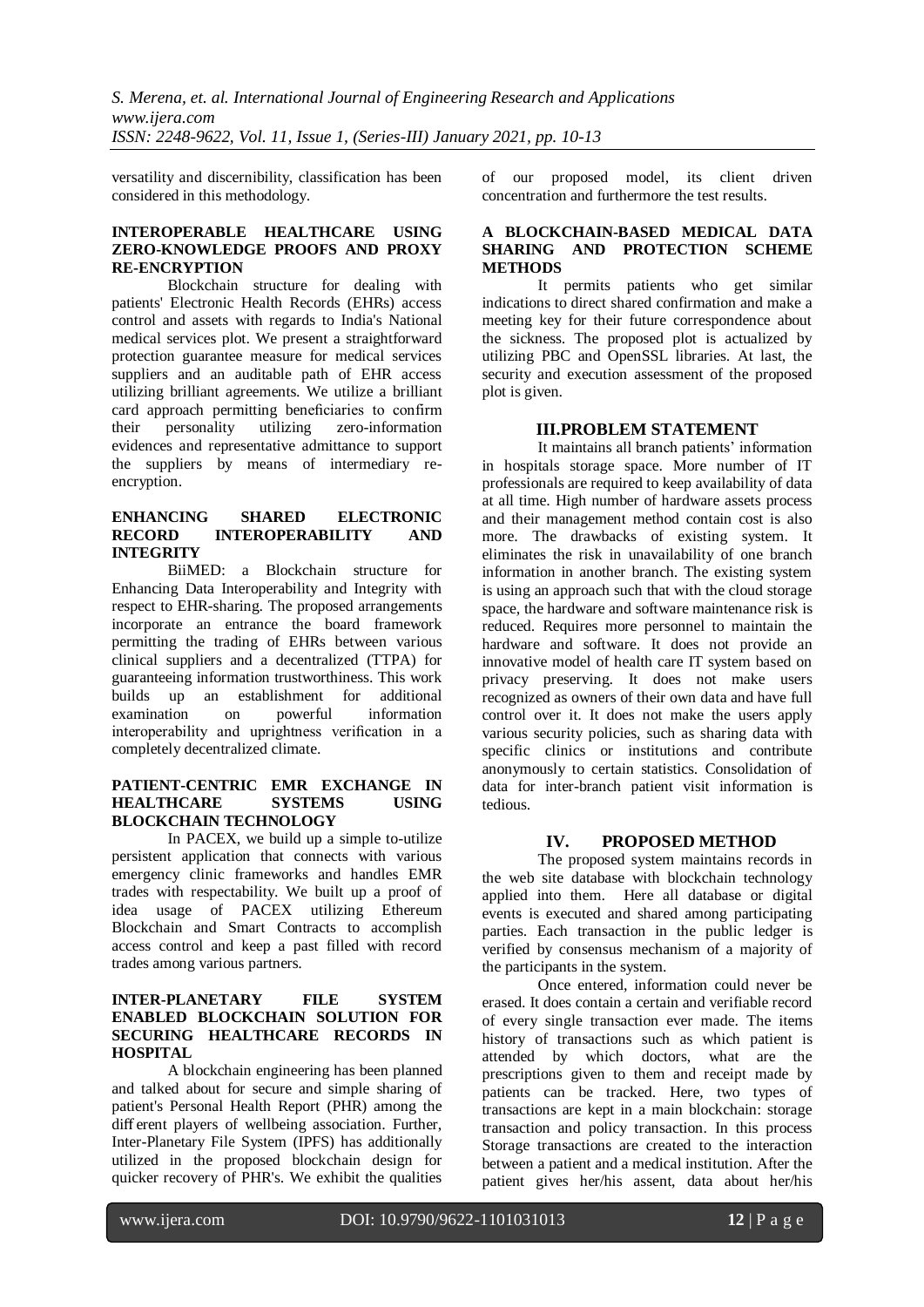versatility and discernibility, classification has been considered in this methodology.

## **INTEROPERABLE HEALTHCARE USING ZERO-KNOWLEDGE PROOFS AND PROXY RE-ENCRYPTION**

Blockchain structure for dealing with patients' Electronic Health Records (EHRs) access control and assets with regards to India's National medical services plot. We present a straightforward protection guarantee measure for medical services suppliers and an auditable path of EHR access utilizing brilliant agreements. We utilize a brilliant card approach permitting beneficiaries to confirm their personality utilizing zero-information evidences and representative admittance to support the suppliers by means of intermediary reencryption.

## **ENHANCING SHARED ELECTRONIC RECORD INTEROPERABILITY INTEGRITY**

BiiMED: a Blockchain structure for Enhancing Data Interoperability and Integrity with respect to EHR-sharing. The proposed arrangements incorporate an entrance the board framework permitting the trading of EHRs between various clinical suppliers and a decentralized (TTPA) for guaranteeing information trustworthiness. This work builds up an establishment for additional examination on powerful information interoperability and uprightness verification in a completely decentralized climate.

#### **PATIENT-CENTRIC EMR EXCHANGE IN HEALTHCARE SYSTEMS USING BLOCKCHAIN TECHNOLOGY**

In PACEX, we build up a simple to-utilize persistent application that connects with various emergency clinic frameworks and handles EMR trades with respectability. We built up a proof of idea usage of PACEX utilizing Ethereum Blockchain and Smart Contracts to accomplish access control and keep a past filled with record trades among various partners.

#### **INTER-PLANETARY FILE SYSTEM ENABLED BLOCKCHAIN SOLUTION FOR SECURING HEALTHCARE RECORDS IN HOSPITAL**

A blockchain engineering has been planned and talked about for secure and simple sharing of patient's Personal Health Report (PHR) among the diff erent players of wellbeing association. Further, Inter-Planetary File System (IPFS) has additionally utilized in the proposed blockchain design for quicker recovery of PHR's. We exhibit the qualities

of our proposed model, its client driven concentration and furthermore the test results.

## **A BLOCKCHAIN-BASED MEDICAL DATA SHARING AND PROTECTION SCHEME METHODS**

It permits patients who get similar indications to direct shared confirmation and make a meeting key for their future correspondence about the sickness. The proposed plot is actualized by utilizing PBC and OpenSSL libraries. At last, the security and execution assessment of the proposed plot is given.

# **III.PROBLEM STATEMENT**

It maintains all branch patients' information in hospitals storage space. More number of IT professionals are required to keep availability of data at all time. High number of hardware assets process and their management method contain cost is also more. The drawbacks of existing system. It eliminates the risk in unavailability of one branch information in another branch. The existing system is using an approach such that with the cloud storage space, the hardware and software maintenance risk is reduced. Requires more personnel to maintain the hardware and software. It does not provide an innovative model of health care IT system based on privacy preserving. It does not make users recognized as owners of their own data and have full control over it. It does not make the users apply various security policies, such as sharing data with specific clinics or institutions and contribute anonymously to certain statistics. Consolidation of data for inter-branch patient visit information is tedious.

# **IV. PROPOSED METHOD**

The proposed system maintains records in the web site database with blockchain technology applied into them. Here all database or digital events is executed and shared among participating parties. Each transaction in the public ledger is verified by consensus mechanism of a majority of the participants in the system.

Once entered, information could never be erased. It does contain a certain and verifiable record of every single transaction ever made. The items history of transactions such as which patient is attended by which doctors, what are the prescriptions given to them and receipt made by patients can be tracked. Here, two types of transactions are kept in a main blockchain: storage transaction and policy transaction. In this process Storage transactions are created to the interaction between a patient and a medical institution. After the patient gives her/his assent, data about her/his